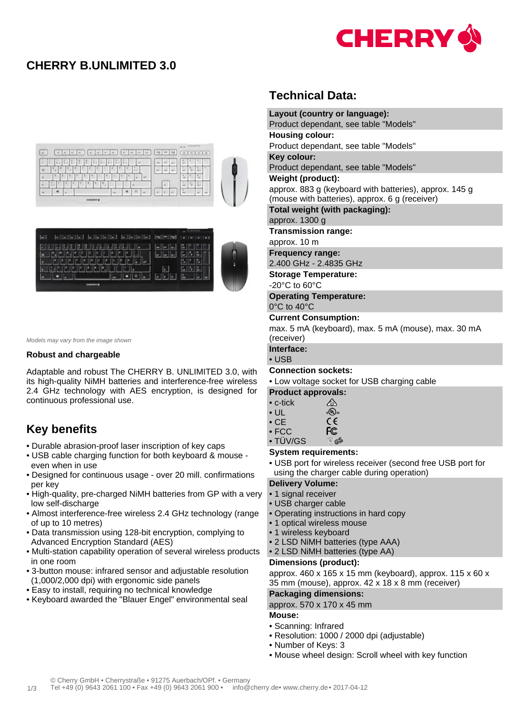

## **CHERRY B.UNLIMITED 3.0**





Models may vary from the image shown

#### **Robust and chargeable**

Adaptable and robust The CHERRY B. UNLIMITED 3.0, with its high-quality NiMH batteries and interference-free wireless 2.4 GHz technology with AES encryption, is designed for continuous professional use.

# **Key benefits**

- Durable abrasion-proof laser inscription of key caps
- USB cable charging function for both keyboard & mouse even when in use
- Designed for continuous usage over 20 mill. confirmations per key
- High-quality, pre-charged NiMH batteries from GP with a very low self-discharge
- Almost interference-free wireless 2.4 GHz technology (range of up to 10 metres)
- Data transmission using 128-bit encryption, complying to Advanced Encryption Standard (AES)
- Multi-station capability operation of several wireless products in one room
- 3-button mouse: infrared sensor and adjustable resolution (1,000/2,000 dpi) with ergonomic side panels
- Easy to install, requiring no technical knowledge
- Keyboard awarded the "Blauer Engel" environmental seal

## **Technical Data:**

**Layout (country or language):** Product dependant, see table "Models" **Housing colour:** Product dependant, see table "Models" **Key colour:** Product dependant, see table "Models" **Weight (product):** approx. 883 g (keyboard with batteries), approx. 145 g (mouse with batteries), approx. 6 g (receiver) **Total weight (with packaging):** approx. 1300 g **Transmission range:** approx. 10 m **Frequency range:** 2.400 GHz - 2.4835 GHz **Storage Temperature:** -20°C to 60°C **Operating Temperature:** 0°C to 40°C **Current Consumption:** max. 5 mA (keyboard), max. 5 mA (mouse), max. 30 mA (receiver) **Interface:** • USB **Connection sockets:** • Low voltage socket for USB charging cable **Product approvals:** • c-tick ⚠ c(Ous • UL  $\epsilon$ • CE • FCC FC

• TÜV/GS

### **System requirements:**

• USB port for wireless receiver (second free USB port for using the charger cable during operation)

#### **Delivery Volume:**

- 1 signal receiver
- USB charger cable
- Operating instructions in hard copy

a GS

- 1 optical wireless mouse
- 1 wireless keyboard
- 2 LSD NiMH batteries (type AAA)
- 2 LSD NiMH batteries (type AA)

#### **Dimensions (product):**

approx. 460 x 165 x 15 mm (keyboard), approx. 115 x 60 x 35 mm (mouse), approx. 42 x 18 x 8 mm (receiver)

#### **Packaging dimensions:**

#### approx. 570 x 170 x 45 mm

#### **Mouse:**

- Scanning: Infrared
- Resolution: 1000 / 2000 dpi (adjustable)
- Number of Keys: 3
- Mouse wheel design: Scroll wheel with key function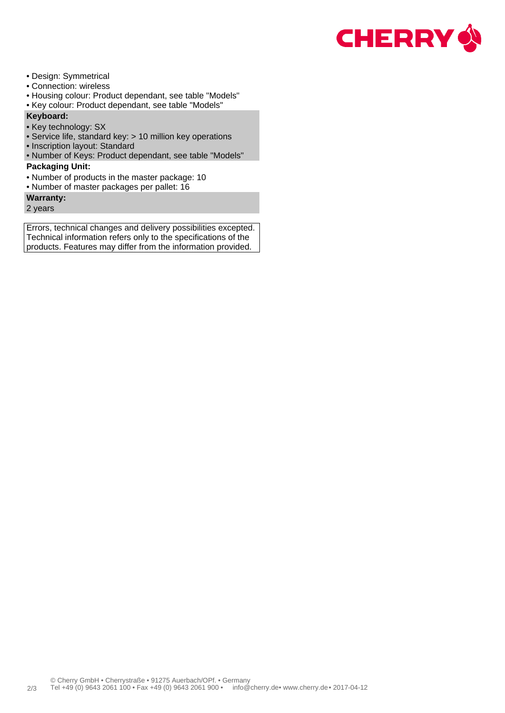

- Design: Symmetrical
- Connection: wireless
- Housing colour: Product dependant, see table "Models"
- Key colour: Product dependant, see table "Models"

### **Keyboard:**

- Key technology: SX
- Service life, standard key: > 10 million key operations
- Inscription layout: Standard
- Number of Keys: Product dependant, see table "Models"

### **Packaging Unit:**

- Number of products in the master package: 10
- Number of master packages per pallet: 16

### **Warranty:**

2 years

Errors, technical changes and delivery possibilities excepted. Technical information refers only to the specifications of the products. Features may differ from the information provided.